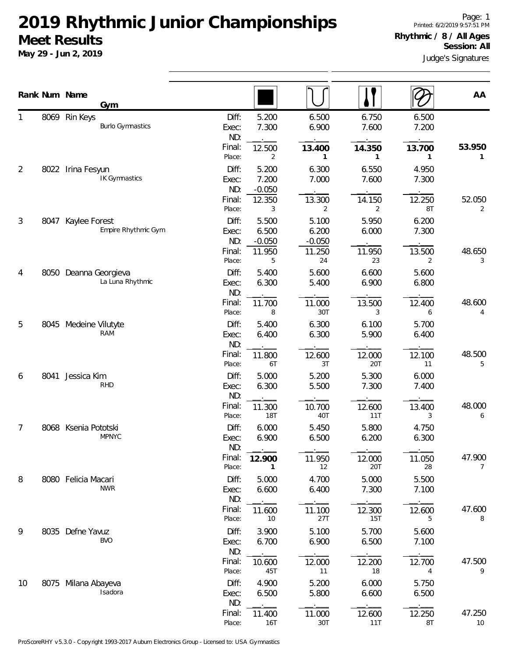**May 29 - Jun 2, 2019**

Page: 1 Printed: 6/2/2019 9:57:51 PM **Rhythmic / 8 / All Ages Session: All**

Judge's Signatures

|                |      | Rank Num Name<br>Gym                      |                                 |                                 |                                 |                        |                                 | AA                       |
|----------------|------|-------------------------------------------|---------------------------------|---------------------------------|---------------------------------|------------------------|---------------------------------|--------------------------|
| 1              |      | 8069 Rin Keys<br><b>Burlo Gymnastics</b>  | Diff:<br>Exec:<br>ND:           | 5.200<br>7.300                  | 6.500<br>6.900                  | 6.750<br>7.600         | 6.500<br>7.200                  |                          |
| $\overline{2}$ | 8022 | Irina Fesyun                              | Final:<br>Place:<br>Diff:       | 12.500<br>2<br>5.200            | 13.400<br>1<br>6.300            | 14.350<br>1<br>6.550   | 13.700<br>$\mathbf{1}$<br>4.950 | 53.950<br>1              |
|                |      | <b>IK Gymnastics</b>                      | Exec:<br>ND:<br>Final:          | 7.200<br>$-0.050$<br>12.350     | 7.000<br>13.300                 | 7.600<br>14.150        | 7.300<br>12.250                 | 52.050                   |
| 3              |      | 8047 Kaylee Forest<br>Empire Rhythmic Gym | Place:<br>Diff:<br>Exec:<br>ND: | 3<br>5.500<br>6.500<br>$-0.050$ | 2<br>5.100<br>6.200<br>$-0.050$ | 2<br>5.950<br>6.000    | 8T<br>6.200<br>7.300            | 2                        |
|                |      |                                           | Final:<br>Place:                | 11.950<br>5                     | 11.250<br>24                    | 11.950<br>23           | 13.500<br>$\overline{2}$        | 48.650<br>3              |
| 4              |      | 8050 Deanna Georgieva<br>La Luna Rhythmic | Diff:<br>Exec:<br>ND:           | 5.400<br>6.300                  | 5.600<br>5.400                  | 6.600<br>6.900         | 5.600<br>6.800                  |                          |
|                |      |                                           | Final:<br>Place:                | 11.700<br>8                     | 11.000<br>30T                   | 13.500<br>3            | 12.400<br>6                     | 48.600<br>4              |
| 5              |      | 8045 Medeine Vilutyte<br><b>RAM</b>       | Diff:<br>Exec:<br>ND:           | 5.400<br>6.400                  | 6.300<br>6.300                  | 6.100<br>5.900         | 5.700<br>6.400                  |                          |
| 6              | 8041 | Jessica Kim                               | Final:<br>Place:<br>Diff:       | 11.800<br>6T<br>5.000           | 12.600<br>3T<br>5.200           | 12.000<br>20T<br>5.300 | 12.100<br>11<br>6.000           | 48.500<br>5              |
|                |      | <b>RHD</b>                                | Exec:<br>ND:                    | 6.300                           | 5.500                           | 7.300                  | 7.400                           |                          |
| 7              |      | 8068 Ksenia Pototski                      | Final:<br>Place:<br>Diff:       | 11.300<br><b>18T</b><br>6.000   | 10.700<br>40T<br>5.450          | 12.600<br>11T<br>5.800 | 13.400<br>3<br>4.750            | 48.000<br>6              |
|                |      | <b>MPNYC</b>                              | Exec:<br>ND:                    | 6.900                           | 6.500                           | 6.200                  | 6.300                           |                          |
| 8              |      | 8080 Felicia Macari                       | Final:<br>Place:<br>Diff:       | 12.900<br>1<br>5.000            | 11.950<br>12<br>4.700           | 12.000<br>20T<br>5.000 | 11.050<br>28<br>5.500           | 47.900<br>$\overline{7}$ |
|                |      | <b>NWR</b>                                | Exec:<br>ND:                    | 6.600                           | 6.400                           | 7.300                  | 7.100                           |                          |
| 9              |      | 8035 Defne Yavuz                          | Final:<br>Place:<br>Diff:       | 11.600<br>10<br>3.900           | 11.100<br>27T<br>5.100          | 12.300<br>15T<br>5.700 | 12.600<br>5<br>5.600            | 47.600<br>8              |
|                |      | <b>BVO</b>                                | Exec:<br>ND:<br>Final:          | 6.700<br>10.600                 | 6.900<br>12.000                 | 6.500<br>12.200        | 7.100<br>12.700                 | 47.500                   |
| 10             |      | 8075 Milana Abayeva<br>Isadora            | Place:<br>Diff:<br>Exec:        | 45T<br>4.900<br>6.500           | 11<br>5.200<br>5.800            | 18<br>6.000<br>6.600   | 4<br>5.750<br>6.500             | 9                        |
|                |      |                                           | ND:<br>Final:<br>Place:         | 11.400<br>16T                   | 11.000<br>30T                   | 12.600<br>11T          | 12.250<br>8T                    | 47.250<br>10             |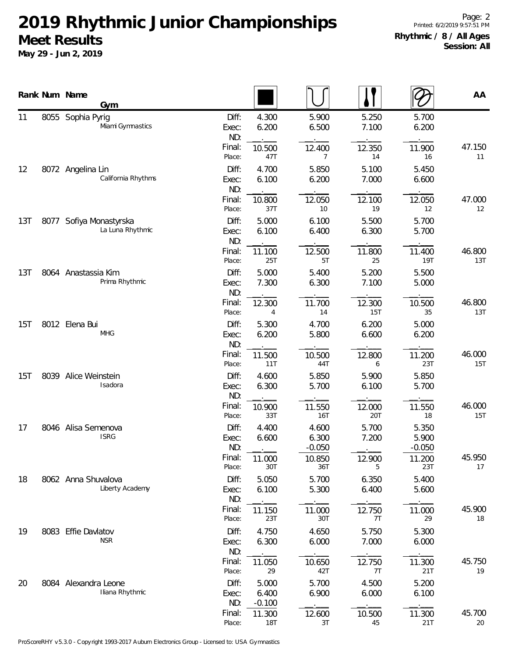|     |      | Rank Num Name<br><b>Gym</b>                 |                                 |                            |                            |                          |                            | AA            |
|-----|------|---------------------------------------------|---------------------------------|----------------------------|----------------------------|--------------------------|----------------------------|---------------|
| 11  |      | 8055 Sophia Pyrig<br>Miami Gymnastics       | Diff:<br>Exec:<br>ND:<br>Final: | 4.300<br>6.200<br>10.500   | 5.900<br>6.500<br>12.400   | 5.250<br>7.100<br>12.350 | 5.700<br>6.200<br>11.900   | 47.150        |
| 12  |      | 8072 Angelina Lin<br>California Rhythms     | Place:<br>Diff:<br>Exec:<br>ND: | 47T<br>4.700<br>6.100      | 7<br>5.850<br>6.200        | 14<br>5.100<br>7.000     | 16<br>5.450<br>6.600       | 11            |
|     |      |                                             | Final:<br>Place:                | 10.800<br>37T              | 12.050<br>10               | 12.100<br>19             | 12.050<br>12               | 47.000<br>12  |
| 13T |      | 8077 Sofiya Monastyrska<br>La Luna Rhythmic | Diff:<br>Exec:<br>ND:           | 5.000<br>6.100             | 6.100<br>6.400             | 5.500<br>6.300           | 5.700<br>5.700             |               |
|     |      |                                             | Final:<br>Place:                | 11.100<br>25T              | 12.500<br>5T               | 11.800<br>25             | 11.400<br><b>19T</b>       | 46.800<br>13T |
| 13T |      | 8064 Anastassia Kim<br>Prima Rhythmic       | Diff:<br>Exec:<br>ND:           | 5.000<br>7.300             | 5.400<br>6.300             | 5.200<br>7.100           | 5.500<br>5.000             |               |
|     |      |                                             | Final:<br>Place:                | 12.300<br>4                | 11.700<br>14               | 12.300<br>15T            | 10.500<br>35               | 46.800<br>13T |
| 15T |      | 8012 Elena Bui<br><b>MHG</b>                | Diff:<br>Exec:<br>ND:           | 5.300<br>6.200             | 4.700<br>5.800             | 6.200<br>6.600           | 5.000<br>6.200             |               |
|     |      |                                             | Final:<br>Place:                | 11.500<br>11T              | 10.500<br>44T              | 12.800<br>6              | 11.200<br>23T              | 46.000<br>15T |
| 15T | 8039 | Alice Weinstein<br>Isadora                  | Diff:<br>Exec:<br>ND:           | 4.600<br>6.300             | 5.850<br>5.700             | 5.900<br>6.100           | 5.850<br>5.700             |               |
|     |      |                                             | Final:<br>Place:                | 10.900<br>33T              | 11.550<br><b>16T</b>       | 12.000<br>20T            | 11.550<br>18               | 46.000<br>15T |
| 17  |      | 8046 Alisa Semenova<br><b>ISRG</b>          | Diff:<br>Exec:<br>ND:           | 4.400<br>6.600             | 4.600<br>6.300<br>$-0.050$ | 5.700<br>7.200           | 5.350<br>5.900<br>$-0.050$ |               |
|     |      |                                             | Final:<br>Place:                | 11.000<br>30T              | 10.850<br>36T              | 12.900<br>5              | 11.200<br>23T              | 45.950<br>17  |
| 18  |      | 8062 Anna Shuvalova<br>Liberty Academy      | Diff:<br>Exec:<br>ND:           | 5.050<br>6.100             | 5.700<br>5.300             | 6.350<br>6.400           | 5.400<br>5.600             |               |
|     |      |                                             | Final:<br>Place:                | 11.150<br>23T              | 11.000<br>30T              | 12.750<br>7T             | 11.000<br>29               | 45.900<br>18  |
| 19  |      | 8083 Effie Davlatov<br><b>NSR</b>           | Diff:<br>Exec:<br>ND:           | 4.750<br>6.300             | 4.650<br>6.000             | 5.750<br>7.000           | 5.300<br>6.000             |               |
|     |      |                                             | Final:<br>Place:                | 11.050<br>29               | 10.650<br>42T              | 12.750<br>7T             | 11.300<br>21T              | 45.750<br>19  |
| 20  |      | 8084 Alexandra Leone<br>Iliana Rhythmic     | Diff:<br>Exec:<br>ND:           | 5.000<br>6.400<br>$-0.100$ | 5.700<br>6.900             | 4.500<br>6.000           | 5.200<br>6.100             |               |
|     |      |                                             | Final:<br>Place:                | 11.300<br><b>18T</b>       | 12.600<br>3T               | 10.500<br>45             | 11.300<br>21T              | 45.700<br>20  |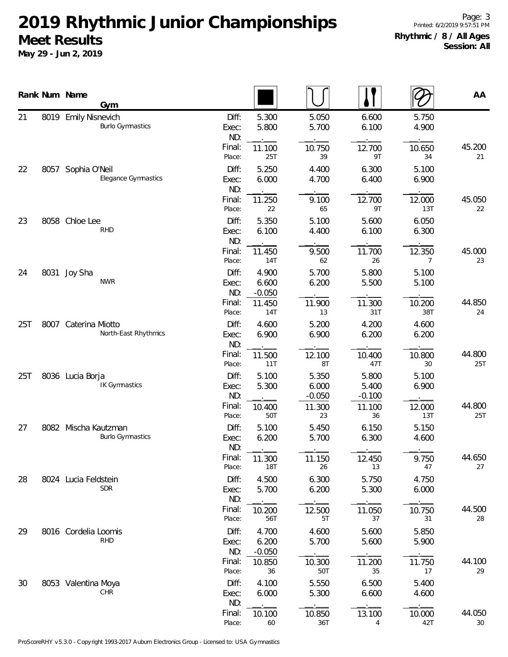|     |      | Rank Num Name<br>Gym                            |                                                     |                            |                            |                | AA            |
|-----|------|-------------------------------------------------|-----------------------------------------------------|----------------------------|----------------------------|----------------|---------------|
| 21  |      | 8019 Emily Nisnevich<br><b>Burlo Gymnastics</b> | Diff:<br>5.300<br>5.800<br>Exec:<br>ND:             | 5.050<br>5.700             | 6.600<br>6.100             | 5.750<br>4.900 |               |
|     |      |                                                 | Final:<br>11.100<br>25T<br>Place:                   | 10.750<br>39               | 12.700<br>9T               | 10.650<br>34   | 45.200<br>21  |
| 22  | 8057 | Sophia O'Neil<br>Elegance Gymnastics            | Diff:<br>5.250<br>6.000<br>Exec:<br>ND:             | 4.400<br>4.700             | 6.300<br>6.400             | 5.100<br>6.900 |               |
|     |      | Final:<br>11.250<br>22<br>Place:                | 9.100<br>65                                         | 12.700<br>9T               | 12.000<br>13T              | 45.050<br>22   |               |
| 23  |      | 8058 Chloe Lee<br><b>RHD</b>                    | Diff:<br>5.350<br>6.100<br>Exec:<br>ND:             | 5.100<br>4.400             | 5.600<br>6.100             | 6.050<br>6.300 |               |
|     |      |                                                 | Final:<br>11.450<br>Place:<br>14T                   | 9.500<br>62                | 11.700<br>26               | 12.350<br>7    | 45.000<br>23  |
| 24  |      | 8031 Joy Sha<br><b>NWR</b>                      | Diff:<br>4.900<br>6.600<br>Exec:<br>ND:<br>$-0.050$ | 5.700<br>6.200             | 5.800<br>5.500             | 5.100<br>5.100 |               |
|     |      |                                                 | Final:<br>11.450<br>14T<br>Place:                   | 11.900<br>13               | 11.300<br>31T              | 10.200<br>38T  | 44.850<br>24  |
| 25T |      | 8007 Caterina Miotto<br>North-East Rhythmics    | Diff:<br>4.600<br>6.900<br>Exec:<br>ND:             | 5.200<br>6.900             | 4.200<br>6.200             | 4.600<br>6.200 |               |
|     |      |                                                 | Final:<br>11.500<br>Place:<br>11T                   | 12.100<br>8T               | 10.400<br>47T              | 10.800<br>30   | 44.800<br>25T |
| 25T |      | 8036 Lucia Borja<br><b>IK Gymnastics</b>        | Diff:<br>5.100<br>5.300<br>Exec:<br>ND:             | 5.350<br>6.000<br>$-0.050$ | 5.800<br>5.400<br>$-0.100$ | 5.100<br>6.900 |               |
|     |      |                                                 | Final:<br>10.400<br>50T<br>Place:                   | 11.300<br>23               | 11.100<br>36               | 12.000<br>13T  | 44.800<br>25T |
| 27  |      | 8082 Mischa Kautzman<br><b>Burlo Gymnastics</b> | Diff:<br>5.100<br>6.200<br>Exec:<br>ND:             | 5.450<br>5.700             | 6.150<br>6.300             | 5.150<br>4.600 |               |
|     |      |                                                 | Final:<br>11.300<br>18T<br>Place:                   | 11.150<br>26               | 12.450<br>13               | 9.750<br>47    | 44.650<br>27  |
| 28  |      | 8024 Lucia Feldstein<br><b>SDR</b>              | Diff:<br>4.500<br>5.700<br>Exec:<br>ND:             | 6.300<br>6.200             | 5.750<br>5.300             | 4.750<br>6.000 |               |
|     |      |                                                 | Final:<br>10.200<br>Place:<br>56T                   | 12.500<br>5T               | 11.050<br>37               | 10.750<br>31   | 44.500<br>28  |
| 29  |      | 8016 Cordelia Loomis<br><b>RHD</b>              | Diff:<br>4.700<br>Exec:<br>6.200<br>ND:<br>$-0.050$ | 4.600<br>5.700             | 5.600<br>5.600             | 5.850<br>5.900 |               |
|     |      |                                                 | Final:<br>10.850<br>Place:<br>36                    | 10.300<br>50T              | 11.200<br>35               | 11.750<br>17   | 44.100<br>29  |
| 30  |      | 8053 Valentina Moya<br>CHR                      | Diff:<br>4.100<br>6.000<br>Exec:<br>ND:             | 5.550<br>5.300             | 6.500<br>6.600             | 5.400<br>4.600 |               |
|     |      |                                                 | Final:<br>10.100<br>Place:<br>60                    | 10.850<br>36T              | 13.100<br>4                | 10.000<br>42T  | 44.050<br>30  |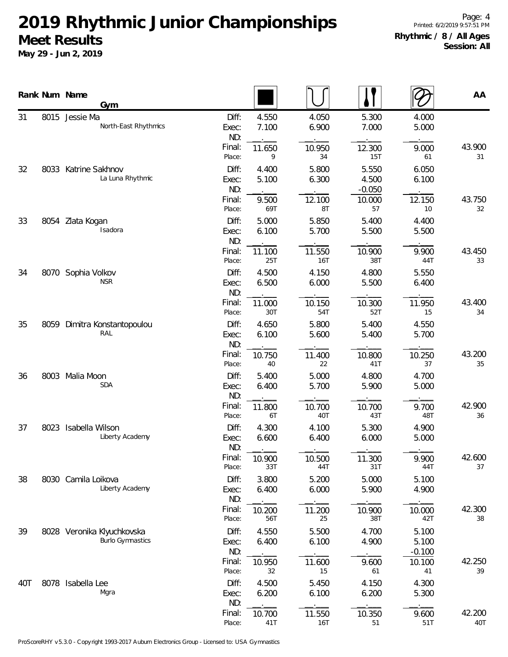|     |      | Rank Num Name<br>Gym                                  |                       |                |                |                            |                            | AA            |
|-----|------|-------------------------------------------------------|-----------------------|----------------|----------------|----------------------------|----------------------------|---------------|
| 31  |      | 8015 Jessie Ma<br>North-East Rhythmics                | Diff:<br>Exec:<br>ND: | 4.550<br>7.100 | 4.050<br>6.900 | 5.300<br>7.000             | 4.000<br>5.000             |               |
|     |      |                                                       | Final:<br>Place:      | 11.650<br>9    | 10.950<br>34   | 12.300<br>15T              | 9.000<br>61                | 43.900<br>31  |
| 32  |      | 8033 Katrine Sakhnov<br>La Luna Rhythmic              | Diff:<br>Exec:<br>ND: | 4.400<br>5.100 | 5.800<br>6.300 | 5.550<br>4.500<br>$-0.050$ | 6.050<br>6.100             |               |
|     |      | Final:<br>Place:                                      | 9.500<br>69T          | 12.100<br>8T   | 10.000<br>57   | 12.150<br>10               | 43.750<br>32               |               |
| 33  |      | 8054 Zlata Kogan<br>Isadora                           | Diff:<br>Exec:<br>ND: | 5.000<br>6.100 | 5.850<br>5.700 | 5.400<br>5.500             | 4.400<br>5.500             |               |
|     |      |                                                       | Final:<br>Place:      | 11.100<br>25T  | 11.550<br>16T  | 10.900<br>38T              | 9.900<br>44T               | 43.450<br>33  |
| 34  |      | 8070 Sophia Volkov<br><b>NSR</b>                      | Diff:<br>Exec:<br>ND: | 4.500<br>6.500 | 4.150<br>6.000 | 4.800<br>5.500             | 5.550<br>6.400             |               |
|     |      |                                                       | Final:<br>Place:      | 11.000<br>30T  | 10.150<br>54T  | 10.300<br>52T              | 11.950<br>15               | 43.400<br>34  |
| 35  | 8059 | Dimitra Konstantopoulou<br>RAL                        | Diff:<br>Exec:<br>ND: | 4.650<br>6.100 | 5.800<br>5.600 | 5.400<br>5.400             | 4.550<br>5.700             |               |
|     |      |                                                       | Final:<br>Place:      | 10.750<br>40   | 11.400<br>22   | 10.800<br>41T              | 10.250<br>37               | 43.200<br>35  |
| 36  |      | 8003 Malia Moon<br><b>SDA</b>                         | Diff:<br>Exec:<br>ND: | 5.400<br>6.400 | 5.000<br>5.700 | 4.800<br>5.900             | 4.700<br>5.000             |               |
|     |      |                                                       | Final:<br>Place:      | 11.800<br>6T   | 10.700<br>40T  | 10.700<br>43T              | 9.700<br>48T               | 42.900<br>36  |
| 37  |      | 8023 Isabella Wilson<br>Liberty Academy               | Diff:<br>Exec:<br>ND: | 4.300<br>6.600 | 4.100<br>6.400 | 5.300<br>6.000             | 4.900<br>5.000             |               |
|     |      |                                                       | Final:<br>Place:      | 10.900<br>33T  | 10.500<br>44T  | 11.300<br>31T              | 9.900<br>44T               | 42.600<br>37  |
| 38  |      | 8030 Camila Loikova<br>Liberty Academy                | Diff:<br>Exec:<br>ND: | 3.800<br>6.400 | 5.200<br>6.000 | 5.000<br>5.900             | 5.100<br>4.900             |               |
|     |      |                                                       | Final:<br>Place:      | 10.200<br>56T  | 11.200<br>25   | 10.900<br>38T              | 10.000<br>42T              | 42.300<br>38  |
| 39  |      | 8028 Veronika Klyuchkovska<br><b>Burlo Gymnastics</b> | Diff:<br>Exec:<br>ND: | 4.550<br>6.400 | 5.500<br>6.100 | 4.700<br>4.900             | 5.100<br>5.100<br>$-0.100$ |               |
|     |      |                                                       | Final:<br>Place:      | 10.950<br>32   | 11.600<br>15   | 9.600<br>61                | 10.100<br>41               | 42.250<br>39  |
| 40T | 8078 | Isabella Lee<br>Mgra                                  | Diff:<br>Exec:<br>ND: | 4.500<br>6.200 | 5.450<br>6.100 | 4.150<br>6.200             | 4.300<br>5.300             |               |
|     |      |                                                       | Final:<br>Place:      | 10.700<br>41T  | 11.550<br>16T  | 10.350<br>$51\,$           | 9.600<br>51T               | 42.200<br>40T |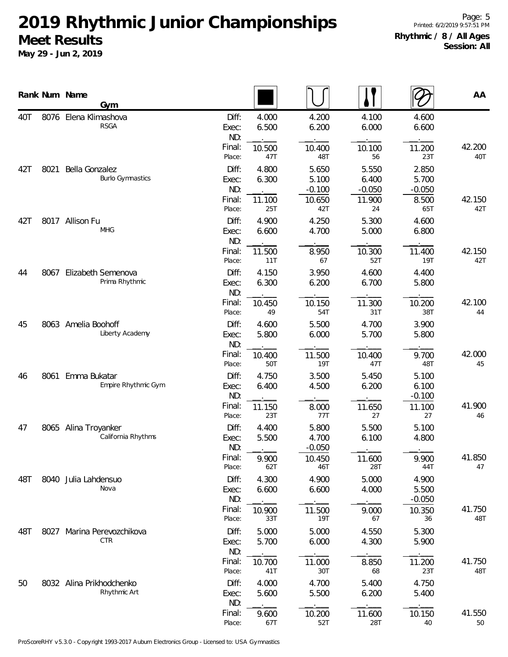|     |      | Rank Num Name<br>Gym                       |                                 |                          |                                      |                                      |                                     | AA            |
|-----|------|--------------------------------------------|---------------------------------|--------------------------|--------------------------------------|--------------------------------------|-------------------------------------|---------------|
| 40T | 8076 | Elena Klimashova<br><b>RSGA</b>            | Diff:<br>Exec:<br>ND:           | 4.000<br>6.500           | 4.200<br>6.200                       | 4.100<br>6.000                       | 4.600<br>6.600                      |               |
|     |      |                                            | Final:<br>Place:                | 10.500<br>47T            | 10.400<br>48T                        | 10.100<br>56                         | 11.200<br>23T                       | 42.200<br>40T |
| 42T | 8021 | Bella Gonzalez<br><b>Burlo Gymnastics</b>  | Diff:<br>Exec:<br>ND:<br>Final: | 4.800<br>6.300<br>11.100 | 5.650<br>5.100<br>$-0.100$<br>10.650 | 5.550<br>6.400<br>$-0.050$<br>11.900 | 2.850<br>5.700<br>$-0.050$<br>8.500 | 42.150        |
| 42T |      | 8017 Allison Fu<br><b>MHG</b>              | Place:<br>Diff:<br>Exec:<br>ND: | 25T<br>4.900<br>6.600    | 42T<br>4.250<br>4.700                | 24<br>5.300<br>5.000                 | 65T<br>4.600<br>6.800               | 42T           |
|     |      |                                            | Final:<br>Place:                | 11.500<br>11T            | 8.950<br>67                          | 10.300<br>52T                        | 11.400<br><b>19T</b>                | 42.150<br>42T |
| 44  | 8067 | Elizabeth Semenova<br>Prima Rhythmic       | Diff:<br>Exec:<br>ND:           | 4.150<br>6.300           | 3.950<br>6.200                       | 4.600<br>6.700                       | 4.400<br>5.800                      |               |
|     |      |                                            | Final:<br>Place:                | 10.450<br>49             | 10.150<br>54T                        | 11.300<br>31T                        | 10.200<br>38T                       | 42.100<br>44  |
| 45  |      | 8063 Amelia Boohoff<br>Liberty Academy     | Diff:<br>Exec:<br>ND:           | 4.600<br>5.800           | 5.500<br>6.000                       | 4.700<br>5.700                       | 3.900<br>5.800                      |               |
|     |      |                                            | Final:<br>Place:                | 10.400<br>50T            | 11.500<br>19T                        | 10.400<br>47T                        | 9.700<br>48T                        | 42.000<br>45  |
| 46  | 8061 | Emma Bukatar<br>Empire Rhythmic Gym        | Diff:<br>Exec:<br>ND:           | 4.750<br>6.400           | 3.500<br>4.500                       | 5.450<br>6.200                       | 5.100<br>6.100<br>$-0.100$          |               |
|     |      |                                            | Final:<br>Place:                | 11.150<br>23T            | 8.000<br>77T                         | 11.650<br>27                         | 11.100<br>27                        | 41.900<br>46  |
| 47  |      | 8065 Alina Troyanker<br>California Rhythms | Diff:<br>Exec:<br>ND:           | 4.400<br>5.500           | 5.800<br>4.700<br>$-0.050$           | 5.500<br>6.100                       | 5.100<br>4.800                      |               |
|     |      |                                            | Final:<br>Place:                | 9.900<br>62T             | 10.450<br>46T                        | 11.600<br>28T                        | 9.900<br>44T                        | 41.850<br>47  |
| 48T |      | 8040 Julia Lahdensuo<br>Nova               | Diff:<br>Exec:<br>ND:           | 4.300<br>6.600           | 4.900<br>6.600                       | 5.000<br>4.000                       | 4.900<br>5.500<br>$-0.050$          |               |
|     |      |                                            | Final:<br>Place:                | 10.900<br>33T            | 11.500<br><b>19T</b>                 | 9.000<br>67                          | 10.350<br>36                        | 41.750<br>48T |
| 48T | 8027 | Marina Perevozchikova<br><b>CTR</b>        | Diff:<br>Exec:<br>ND:           | 5.000<br>5.700           | 5.000<br>6.000                       | 4.550<br>4.300                       | 5.300<br>5.900                      |               |
|     |      |                                            | Final:<br>Place:                | 10.700<br>41T            | 11.000<br>30T                        | 8.850<br>68                          | 11.200<br>23T                       | 41.750<br>48T |
| 50  |      | 8032 Alina Prikhodchenko<br>Rhythmic Art   | Diff:<br>Exec:<br>ND:           | 4.000<br>5.600           | 4.700<br>5.500                       | 5.400<br>6.200                       | 4.750<br>5.400                      |               |
|     |      |                                            | Final:<br>Place:                | 9.600<br>67T             | 10.200<br>52T                        | 11.600<br>28T                        | 10.150<br>40                        | 41.550<br>50  |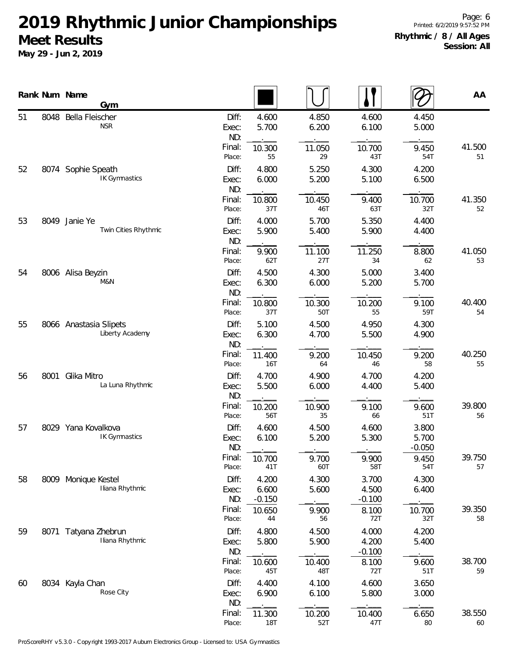|    |      | Rank Num Name<br>Gym                      |                       |                            |                |                            |                            | AA           |
|----|------|-------------------------------------------|-----------------------|----------------------------|----------------|----------------------------|----------------------------|--------------|
| 51 | 8048 | Bella Fleischer<br><b>NSR</b>             | Diff:<br>Exec:<br>ND: | 4.600<br>5.700             | 4.850<br>6.200 | 4.600<br>6.100             | 4.450<br>5.000             |              |
|    |      |                                           | Final:<br>Place:      | 10.300<br>55               | 11.050<br>29   | 10.700<br>43T              | 9.450<br>54T               | 41.500<br>51 |
| 52 | 8074 | Sophie Speath<br><b>IK Gymnastics</b>     | Diff:<br>Exec:<br>ND: | 4.800<br>6.000             | 5.250<br>5.200 | 4.300<br>5.100             | 4.200<br>6.500             |              |
|    |      | Final:<br>Place:                          | 10.800<br>37T         | 10.450<br>46T              | 9.400<br>63T   | 10.700<br>32T              | 41.350<br>52               |              |
| 53 | 8049 | Janie Ye<br>Twin Cities Rhythmic          | Diff:<br>Exec:<br>ND: | 4.000<br>5.900             | 5.700<br>5.400 | 5.350<br>5.900             | 4.400<br>4.400             |              |
|    |      |                                           | Final:<br>Place:      | 9.900<br>62T               | 11.100<br>27T  | 11.250<br>34               | 8.800<br>62                | 41.050<br>53 |
| 54 |      | 8006 Alisa Beyzin<br>M&N                  | Diff:<br>Exec:<br>ND: | 4.500<br>6.300             | 4.300<br>6.000 | 5.000<br>5.200             | 3.400<br>5.700             |              |
|    |      |                                           | Final:<br>Place:      | 10.800<br>37T              | 10.300<br>50T  | 10.200<br>55               | 9.100<br>59T               | 40.400<br>54 |
| 55 |      | 8066 Anastasia Slipets<br>Liberty Academy | Diff:<br>Exec:<br>ND: | 5.100<br>6.300             | 4.500<br>4.700 | 4.950<br>5.500             | 4.300<br>4.900             |              |
|    |      |                                           | Final:<br>Place:      | 11.400<br>16T              | 9.200<br>64    | 10.450<br>46               | 9.200<br>58                | 40.250<br>55 |
| 56 | 8001 | Glika Mitro<br>La Luna Rhythmic           | Diff:<br>Exec:<br>ND: | 4.700<br>5.500             | 4.900<br>6.000 | 4.700<br>4.400             | 4.200<br>5.400             |              |
|    |      |                                           | Final:<br>Place:      | 10.200<br>56T              | 10.900<br>35   | 9.100<br>66                | 9.600<br>51T               | 39.800<br>56 |
| 57 |      | 8029 Yana Kovalkova<br>IK Gymnastics      | Diff:<br>Exec:<br>ND: | 4.600<br>6.100             | 4.500<br>5.200 | 4.600<br>5.300             | 3.800<br>5.700<br>$-0.050$ |              |
|    |      |                                           | Final:<br>Place:      | 10.700<br>41T              | 9.700<br>60T   | 9.900<br>58T               | 9.450<br>54T               | 39.750<br>57 |
| 58 |      | 8009 Monique Kestel<br>Iliana Rhythmic    | Diff:<br>Exec:<br>ND: | 4.200<br>6.600<br>$-0.150$ | 4.300<br>5.600 | 3.700<br>4.500<br>$-0.100$ | 4.300<br>6.400             |              |
|    |      |                                           | Final:<br>Place:      | 10.650<br>44               | 9.900<br>56    | 8.100<br>72T               | 10.700<br>32T              | 39.350<br>58 |
| 59 | 8071 | Tatyana Zhebrun<br>Iliana Rhythmic        | Diff:<br>Exec:<br>ND: | 4.800<br>5.800             | 4.500<br>5.900 | 4.000<br>4.200<br>$-0.100$ | 4.200<br>5.400             |              |
|    |      |                                           | Final:<br>Place:      | 10.600<br>45T              | 10.400<br>48T  | 8.100<br>72T               | 9.600<br>51T               | 38.700<br>59 |
| 60 |      | 8034 Kayla Chan<br>Rose City              | Diff:<br>Exec:<br>ND: | 4.400<br>6.900             | 4.100<br>6.100 | 4.600<br>5.800             | 3.650<br>3.000             |              |
|    |      |                                           | Final:<br>Place:      | 11.300<br>18T              | 10.200<br>52T  | 10.400<br>47T              | 6.650<br>80                | 38.550<br>60 |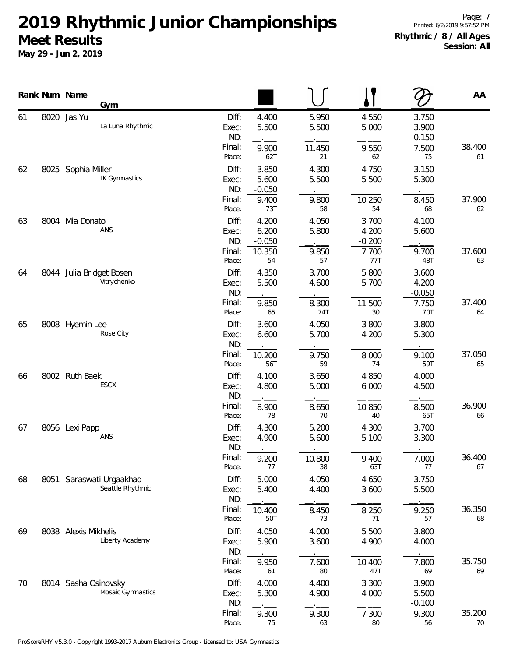|    |      | Rank Num Name<br>Gym                      |                                           |                                |                                |                                |                                           | AA           |
|----|------|-------------------------------------------|-------------------------------------------|--------------------------------|--------------------------------|--------------------------------|-------------------------------------------|--------------|
| 61 |      | 8020 Jas Yu<br>La Luna Rhythmic           | Diff:<br>Exec:<br>ND:<br>Final:<br>Place: | 4.400<br>5.500<br>9.900<br>62T | 5.950<br>5.500<br>11.450<br>21 | 4.550<br>5.000<br>9.550<br>62  | 3.750<br>3.900<br>$-0.150$<br>7.500<br>75 | 38.400<br>61 |
| 62 |      | 8025 Sophia Miller<br>IK Gymnastics       | Diff:<br>Exec:<br>ND:                     | 3.850<br>5.600<br>$-0.050$     | 4.300<br>5.500                 | 4.750<br>5.500                 | 3.150<br>5.300                            |              |
| 63 | 8004 | Mia Donato<br>ANS                         | Final:<br>Place:<br>Diff:<br>Exec:        | 9.400<br>73T<br>4.200<br>6.200 | 9.800<br>58<br>4.050<br>5.800  | 10.250<br>54<br>3.700<br>4.200 | 8.450<br>68<br>4.100<br>5.600             | 37.900<br>62 |
|    |      |                                           | ND:<br>Final:<br>Place:                   | $-0.050$<br>10.350<br>54       | 9.850<br>57                    | $-0.200$<br>7.700<br>77T       | 9.700<br>48T                              | 37.600<br>63 |
| 64 |      | 8044 Julia Bridget Bosen<br>Vitrychenko   | Diff:<br>Exec:<br>ND:                     | 4.350<br>5.500                 | 3.700<br>4.600                 | 5.800<br>5.700                 | 3.600<br>4.200<br>$-0.050$                |              |
| 65 |      | 8008 Hyemin Lee<br>Rose City              | Final:<br>Place:<br>Diff:<br>Exec:        | 9.850<br>65<br>3.600<br>6.600  | 8.300<br>74T<br>4.050<br>5.700 | 11.500<br>30<br>3.800<br>4.200 | 7.750<br>70T<br>3.800<br>5.300            | 37.400<br>64 |
|    |      |                                           | ND:<br>Final:<br>Place:                   | 10.200<br>56T                  | 9.750<br>59                    | 8.000<br>74                    | 9.100<br>59T                              | 37.050<br>65 |
| 66 |      | 8002 Ruth Baek<br>ESCX                    | Diff:<br>Exec:<br>ND:<br>Final:           | 4.100<br>4.800<br>8.900        | 3.650<br>5.000<br>8.650        | 4.850<br>6.000<br>10.850       | 4.000<br>4.500<br>8.500                   | 36.900       |
| 67 |      | 8056 Lexi Papp<br>ANS                     | Place:<br>Diff:<br>Exec:<br>ND:           | 78<br>4.300<br>4.900           | 70<br>5.200<br>5.600           | 40<br>4.300<br>5.100           | 65T<br>3.700<br>3.300                     | 66           |
|    |      |                                           | Final:<br>Place:                          | 9.200<br>77                    | 10.800<br>38                   | 9.400<br>63T                   | 7.000<br>77                               | 36.400<br>67 |
| 68 | 8051 | Saraswati Urgaakhad<br>Seattle Rhythmic   | Diff:<br>Exec:<br>ND:<br>Final:           | 5.000<br>5.400<br>10.400       | 4.050<br>4.400<br>8.450        | 4.650<br>3.600<br>8.250        | 3.750<br>5.500<br>9.250                   | 36.350       |
| 69 |      | 8038 Alexis Mikhelis<br>Liberty Academy   | Place:<br>Diff:<br>Exec:                  | 50T<br>4.050<br>5.900          | 73<br>4.000<br>3.600           | 71<br>5.500<br>4.900           | 57<br>3.800<br>4.000                      | 68           |
|    |      |                                           | ND:<br>Final:<br>Place:                   | 9.950<br>61                    | 7.600<br>80                    | 10.400<br>47T                  | 7.800<br>69                               | 35.750<br>69 |
| 70 |      | 8014 Sasha Osinovsky<br>Mosaic Gymnastics | Diff:<br>Exec:<br>ND:                     | 4.000<br>5.300                 | 4.400<br>4.900                 | 3.300<br>4.000                 | 3.900<br>5.500<br>$-0.100$                |              |
|    |      |                                           | Final:<br>Place:                          | 9.300<br>75                    | 9.300<br>63                    | 7.300<br>80                    | 9.300<br>56                               | 35.200<br>70 |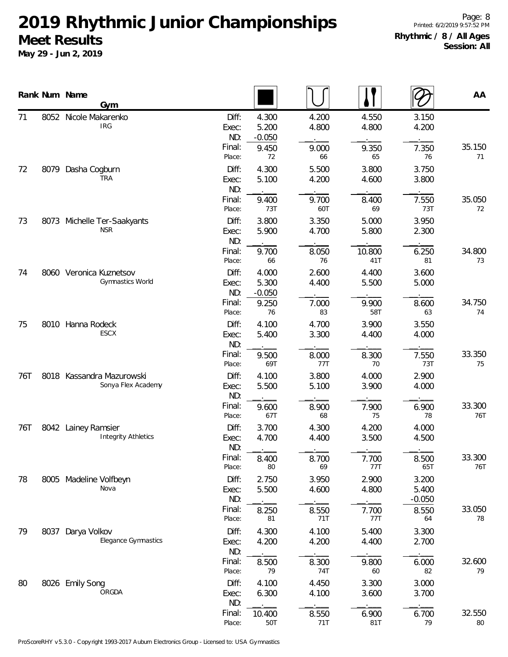|     |      | Rank Num Name<br>Gym                              |                       |                            |                |                |                            | AA            |
|-----|------|---------------------------------------------------|-----------------------|----------------------------|----------------|----------------|----------------------------|---------------|
| 71  | 8052 | Nicole Makarenko<br><b>IRG</b>                    | Diff:<br>Exec:<br>ND: | 4.300<br>5.200<br>$-0.050$ | 4.200<br>4.800 | 4.550<br>4.800 | 3.150<br>4.200             |               |
|     |      |                                                   | Final:<br>Place:      | 9.450<br>72                | 9.000<br>66    | 9.350<br>65    | 7.350<br>76                | 35.150<br>71  |
| 72  | 8079 | Dasha Cogburn<br><b>TRA</b>                       | Diff:<br>Exec:<br>ND: | 4.300<br>5.100             | 5.500<br>4.200 | 3.800<br>4.600 | 3.750<br>3.800             |               |
|     |      |                                                   | Final:<br>Place:      | 9.400<br>73T               | 9.700<br>60T   | 8.400<br>69    | 7.550<br>73T               | 35.050<br>72  |
| 73  | 8073 | Michelle Ter-Saakyants<br><b>NSR</b>              | Diff:<br>Exec:<br>ND: | 3.800<br>5.900             | 3.350<br>4.700 | 5.000<br>5.800 | 3.950<br>2.300             |               |
|     |      |                                                   | Final:<br>Place:      | 9.700<br>66                | 8.050<br>76    | 10.800<br>41T  | 6.250<br>81                | 34.800<br>73  |
| 74  |      | 8060 Veronica Kuznetsov<br>Gymnastics World       | Diff:<br>Exec:<br>ND: | 4.000<br>5.300<br>$-0.050$ | 2.600<br>4.400 | 4.400<br>5.500 | 3.600<br>5.000             |               |
|     |      |                                                   | Final:<br>Place:      | 9.250<br>76                | 7.000<br>83    | 9.900<br>58T   | 8.600<br>63                | 34.750<br>74  |
| 75  |      | 8010 Hanna Rodeck<br>ESCX                         | Diff:<br>Exec:<br>ND: | 4.100<br>5.400             | 4.700<br>3.300 | 3.900<br>4.400 | 3.550<br>4.000             |               |
|     |      |                                                   | Final:<br>Place:      | 9.500<br>69T               | 8.000<br>77T   | 8.300<br>70    | 7.550<br>73T               | 33.350<br>75  |
| 76T | 8018 | Kassandra Mazurowski<br>Sonya Flex Academy        | Diff:<br>Exec:<br>ND: | 4.100<br>5.500             | 3.800<br>5.100 | 4.000<br>3.900 | 2.900<br>4.000             |               |
|     |      |                                                   | Final:<br>Place:      | 9.600<br>67T               | 8.900<br>68    | 7.900<br>75    | 6.900<br>78                | 33.300<br>76T |
| 76T |      | 8042 Lainey Ramsier<br><b>Integrity Athletics</b> | Diff:<br>Exec:<br>ND: | 3.700<br>4.700             | 4.300<br>4.400 | 4.200<br>3.500 | 4.000<br>4.500             |               |
|     |      |                                                   | Final:<br>Place:      | 8.400<br>80                | 8.700<br>69    | 7.700<br>77T   | 8.500<br>65T               | 33.300<br>76T |
| 78  |      | 8005 Madeline Volfbeyn<br>Nova                    | Diff:<br>Exec:<br>ND: | 2.750<br>5.500             | 3.950<br>4.600 | 2.900<br>4.800 | 3.200<br>5.400<br>$-0.050$ |               |
|     |      |                                                   | Final:<br>Place:      | 8.250<br>81                | 8.550<br>71T   | 7.700<br>77T   | 8.550<br>64                | 33.050<br>78  |
| 79  | 8037 | Darya Volkov<br>Elegance Gymnastics               | Diff:<br>Exec:<br>ND: | 4.300<br>4.200             | 4.100<br>4.200 | 5.400<br>4.400 | 3.300<br>2.700             |               |
|     |      |                                                   | Final:<br>Place:      | 8.500<br>79                | 8.300<br>74T   | 9.800<br>60    | 6.000<br>82                | 32.600<br>79  |
| 80  |      | 8026 Emily Song<br>ORGDA                          | Diff:<br>Exec:<br>ND: | 4.100<br>6.300             | 4.450<br>4.100 | 3.300<br>3.600 | 3.000<br>3.700             |               |
|     |      |                                                   | Final:<br>Place:      | 10.400<br>50T              | 8.550<br>71T   | 6.900<br>81T   | 6.700<br>79                | 32.550<br>80  |